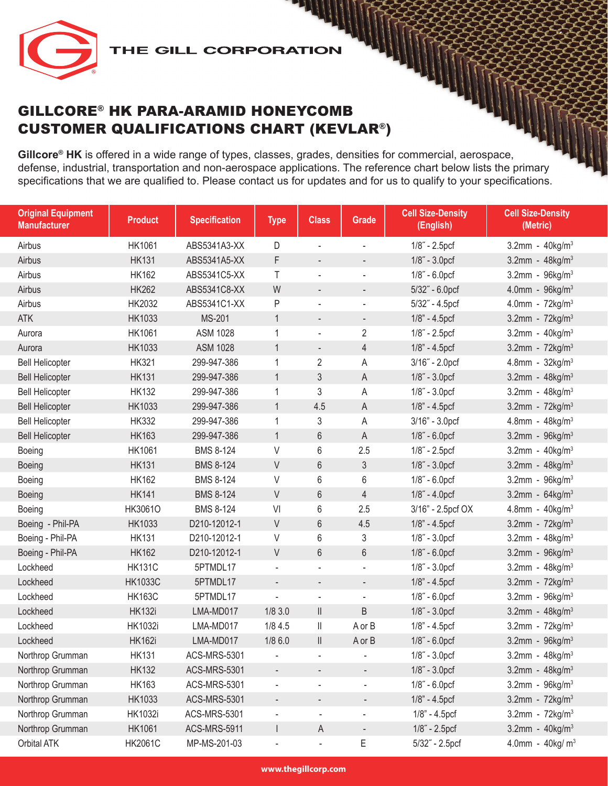

**Gillcore® HK** is offered in a wide range of types, classes, grades, densities for commercial, aerospace, defense, industrial, transportation and non-aerospace applications. The reference chart below lists the primary specifications that we are qualified to. Please contact us for updates and for us to qualify to your specifications.

| <b>Original Equipment</b><br><b>Manufacturer</b> | <b>Product</b> | <b>Specification</b> | <b>Type</b>              | <b>Class</b>                                                              | Grade                        | <b>Cell Size-Density</b><br>(English) | <b>Cell Size-Density</b><br>(Metric) |
|--------------------------------------------------|----------------|----------------------|--------------------------|---------------------------------------------------------------------------|------------------------------|---------------------------------------|--------------------------------------|
| Airbus                                           | HK1061         | ABS5341A3-XX         | D                        | ÷,                                                                        | $\frac{1}{2}$                | $1/8$ " - 2.5pcf                      | 3.2mm - $40$ kg/m <sup>3</sup>       |
| Airbus                                           | <b>HK131</b>   | ABS5341A5-XX         | F                        |                                                                           |                              | 1/8" - 3.0pcf                         | $3.2$ mm - $48$ kg/m <sup>3</sup>    |
| Airbus                                           | <b>HK162</b>   | ABS5341C5-XX         | T                        | ÷,                                                                        | $\overline{\phantom{a}}$     | $1/8$ " - 6.0pcf                      | 3.2mm - $96kg/m^3$                   |
| Airbus                                           | <b>HK262</b>   | ABS5341C8-XX         | W                        | $\overline{\phantom{a}}$                                                  | $\overline{\phantom{a}}$     | 5/32" - 6.0pcf                        | 4.0mm - $96kg/m^3$                   |
| Airbus                                           | HK2032         | ABS5341C1-XX         | P                        | ÷,                                                                        | $\blacksquare$               | $5/32$ " - 4.5pcf                     | 4.0mm - $72kg/m^3$                   |
| <b>ATK</b>                                       | <b>HK1033</b>  | MS-201               | $\mathbf{1}$             | ٠                                                                         | $\overline{\phantom{a}}$     | $1/8" - 4.5pcf$                       | 3.2mm - $72$ kg/m <sup>3</sup>       |
| Aurora                                           | HK1061         | <b>ASM 1028</b>      | $\mathbf 1$              | ÷,                                                                        | $\overline{2}$               | $1/8$ " - 2.5pcf                      | 3.2mm - $40$ kg/m <sup>3</sup>       |
| Aurora                                           | HK1033         | <b>ASM 1028</b>      | $\mathbf{1}$             | $\overline{\phantom{a}}$                                                  | $\overline{4}$               | 1/8" - 4.5pcf                         | 3.2mm - $72$ kg/m <sup>3</sup>       |
| <b>Bell Helicopter</b>                           | <b>HK321</b>   | 299-947-386          | $\mathbf 1$              | $\overline{2}$                                                            | Α                            | 3/16" - 2.0pcf                        | 4.8mm - $32$ kg/m <sup>3</sup>       |
| <b>Bell Helicopter</b>                           | <b>HK131</b>   | 299-947-386          | $\mathbf{1}$             | 3                                                                         | A                            | $1/8$ " - $3.0$ pcf                   | 3.2mm - $48$ kg/m <sup>3</sup>       |
| <b>Bell Helicopter</b>                           | <b>HK132</b>   | 299-947-386          | $\mathbf 1$              | 3                                                                         | А                            | $1/8$ " - $3.0$ pcf                   | 3.2mm - $48$ kg/m <sup>3</sup>       |
| <b>Bell Helicopter</b>                           | <b>HK1033</b>  | 299-947-386          | $\mathbf{1}$             | 4.5                                                                       | A                            | 1/8" - 4.5pcf                         | 3.2mm - $72$ kg/m <sup>3</sup>       |
| <b>Bell Helicopter</b>                           | <b>HK332</b>   | 299-947-386          | $\mathbf 1$              | 3                                                                         | Α                            | $3/16" - 3.0prf$                      | 4.8mm - $48kg/m3$                    |
| <b>Bell Helicopter</b>                           | <b>HK163</b>   | 299-947-386          | $\mathbf{1}$             | 6                                                                         | А                            | $1/8$ " - 6.0pcf                      | $3.2$ mm - $96$ kg/m <sup>3</sup>    |
| Boeing                                           | <b>HK1061</b>  | <b>BMS 8-124</b>     | $\vee$                   | 6                                                                         | 2.5                          | 1/8" - 2.5pcf                         | 3.2mm - $40$ kg/m <sup>3</sup>       |
| Boeing                                           | <b>HK131</b>   | <b>BMS 8-124</b>     | V                        | 6                                                                         | 3                            | 1/8" - 3.0pcf                         | 3.2mm - $48$ kg/m <sup>3</sup>       |
| Boeing                                           | <b>HK162</b>   | <b>BMS 8-124</b>     | $\vee$                   | 6                                                                         | 6                            | $1/8$ " - 6.0pcf                      | 3.2mm - 96kg/m <sup>3</sup>          |
| Boeing                                           | <b>HK141</b>   | <b>BMS 8-124</b>     | V                        | 6                                                                         | $\overline{4}$               | $1/8$ " - $4.0$ pcf                   | 3.2mm - $64 \text{kg/m}^3$           |
| Boeing                                           | HK3061O        | <b>BMS 8-124</b>     | VI                       | 6                                                                         | 2.5                          | 3/16" - 2.5pcf OX                     | 4.8mm - $40kg/m^3$                   |
| Boeing - Phil-PA                                 | HK1033         | D210-12012-1         | V                        | 6                                                                         | 4.5                          | $1/8" - 4.5pcf$                       | 3.2mm - $72$ kg/m <sup>3</sup>       |
| Boeing - Phil-PA                                 | <b>HK131</b>   | D210-12012-1         | V                        | 6                                                                         | 3                            | $1/8$ " - $3.0$ pcf                   | 3.2mm - $48$ kg/m <sup>3</sup>       |
| Boeing - Phil-PA                                 | <b>HK162</b>   | D210-12012-1         | V                        | $6\,$                                                                     | $6\,$                        | 1/8" - 6.0pcf                         | 3.2mm - $96 \text{kg/m}^3$           |
| Lockheed                                         | <b>HK131C</b>  | 5PTMDL17             | $\overline{\phantom{a}}$ | ÷,                                                                        | ÷,                           | $1/8$ " - $3.0pc$ f                   | 3.2mm - $48$ kg/m <sup>3</sup>       |
| Lockheed                                         | <b>HK1033C</b> | 5PTMDL17             |                          | $\overline{\phantom{a}}$                                                  | $\overline{\phantom{a}}$     | $1/8$ " - $4.5$ pcf                   | 3.2mm - $72$ kg/m <sup>3</sup>       |
| Lockheed                                         | <b>HK163C</b>  | 5PTMDL17             | $\overline{\phantom{a}}$ | $\blacksquare$                                                            | $\overline{\phantom{a}}$     | 1/8" - 6.0pcf                         | 3.2mm - $96kg/m^3$                   |
| Lockheed                                         | <b>HK132i</b>  | LMA-MD017            | 1/83.0                   | $\label{eq:1} \prod_{i=1}^n \left\{ \prod_{i=1}^n \frac{1}{n_i} \right\}$ | B                            | 1/8" - 3.0pcf                         | 3.2mm - $48 kg/m3$                   |
| Lockheed                                         | <b>HK1032i</b> | LMA-MD017            | 1/84.5                   | $\mathbb I$                                                               | A or B                       | 1/8" - 4.5pcf                         | 3.2mm - $72$ kg/m <sup>3</sup>       |
| Lockheed                                         | <b>HK162i</b>  | LMA-MD017            | 1/86.0                   | $\label{eq:1} \prod_{i=1}^n \left\{ \prod_{i=1}^n \frac{1}{n_i} \right\}$ | A or B                       | 1/8" - 6.0pcf                         | 3.2mm - $96kg/m^3$                   |
| Northrop Grumman                                 | <b>HK131</b>   | <b>ACS-MRS-5301</b>  |                          |                                                                           |                              | 1/8" - 3.0pcf                         | 3.2mm - $48 kg/m3$                   |
| Northrop Grumman                                 | <b>HK132</b>   | <b>ACS-MRS-5301</b>  |                          |                                                                           |                              | 1/8" - 3.0pcf                         | 3.2mm - $48 kg/m3$                   |
| Northrop Grumman                                 | <b>HK163</b>   | ACS-MRS-5301         | $\overline{\phantom{a}}$ | $\frac{1}{2}$                                                             | $\qquad \qquad \blacksquare$ | $1/8$ " - 6.0pcf                      | $3.2$ mm - $96$ kg/m <sup>3</sup>    |
| Northrop Grumman                                 | HK1033         | <b>ACS-MRS-5301</b>  | $\overline{\phantom{a}}$ | -                                                                         | $\overline{\phantom{a}}$     | 1/8" - 4.5pcf                         | 3.2mm - $72$ kg/m <sup>3</sup>       |
| Northrop Grumman                                 | <b>HK1032i</b> | ACS-MRS-5301         | $\overline{\phantom{a}}$ | $\overline{\phantom{a}}$                                                  | $\blacksquare$               | 1/8" - 4.5pcf                         | 3.2mm - $72$ kg/m <sup>3</sup>       |
| Northrop Grumman                                 | <b>HK1061</b>  | ACS-MRS-5911         |                          | $\mathsf A$                                                               | $\overline{\phantom{a}}$     | 1/8" - 2.5pcf                         | 3.2mm - $40$ kg/m <sup>3</sup>       |
| Orbital ATK                                      | <b>HK2061C</b> | MP-MS-201-03         |                          |                                                                           | Ε                            | 5/32" - 2.5pcf                        | 4.0mm - $40$ kg/m <sup>3</sup>       |